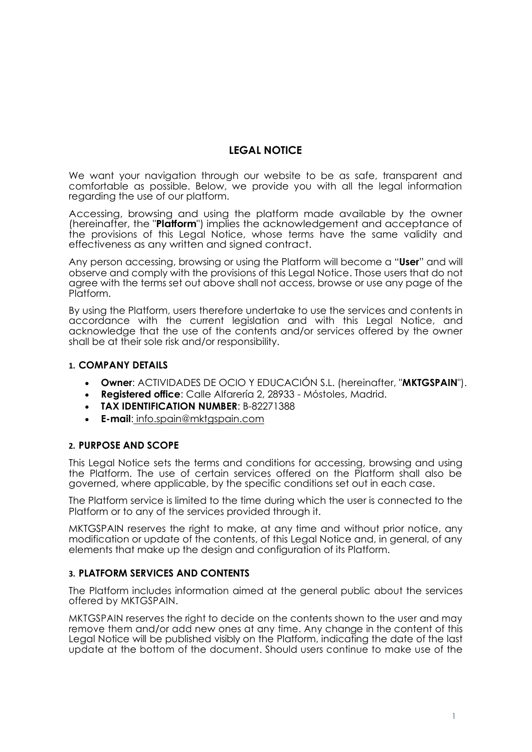# **LEGAL NOTICE**

We want your navigation through our website to be as safe, transparent and comfortable as possible. Below, we provide you with all the legal information regarding the use of our platform.

Accessing, browsing and using the platform made available by the owner (hereinafter, the "**Platform**") implies the acknowledgement and acceptance of the provisions of this Legal Notice, whose terms have the same validity and effectiveness as any written and signed contract.

Any person accessing, browsing or using the Platform will become a "**User**" and will observe and comply with the provisions of this Legal Notice. Those users that do not agree with the terms set out above shall not access, browse or use any page of the Platform.

By using the Platform, users therefore undertake to use the services and contents in accordance with the current legislation and with this Legal Notice, and acknowledge that the use of the contents and/or services offered by the owner shall be at their sole risk and/or responsibility.

#### **1. COMPANY DETAILS**

- **Owner**: ACTIVIDADES DE OCIO Y EDUCACIÓN S.L. (hereinafter, "**MKTGSPAIN**").
- **Registered office**: Calle Alfarería 2, 28933 Móstoles, Madrid.
- **TAX IDENTIFICATION NUMBER**: B-82271388
- **E-mail**: info.spain@mktgspain.com

#### **2. PURPOSE AND SCOPE**

This Legal Notice sets the terms and conditions for accessing, browsing and using the Platform. The use of certain services offered on the Platform shall also be governed, where applicable, by the specific conditions set out in each case.

The Platform service is limited to the time during which the user is connected to the Platform or to any of the services provided through it.

MKTGSPAIN reserves the right to make, at any time and without prior notice, any modification or update of the contents, of this Legal Notice and, in general, of any elements that make up the design and configuration of its Platform.

#### **3. PLATFORM SERVICES AND CONTENTS**

The Platform includes information aimed at the general public about the services offered by MKTGSPAIN.

MKTGSPAIN reserves the right to decide on the contents shown to the user and may remove them and/or add new ones at any time. Any change in the content of this Legal Notice will be published visibly on the Platform, indicating the date of the last update at the bottom of the document. Should users continue to make use of the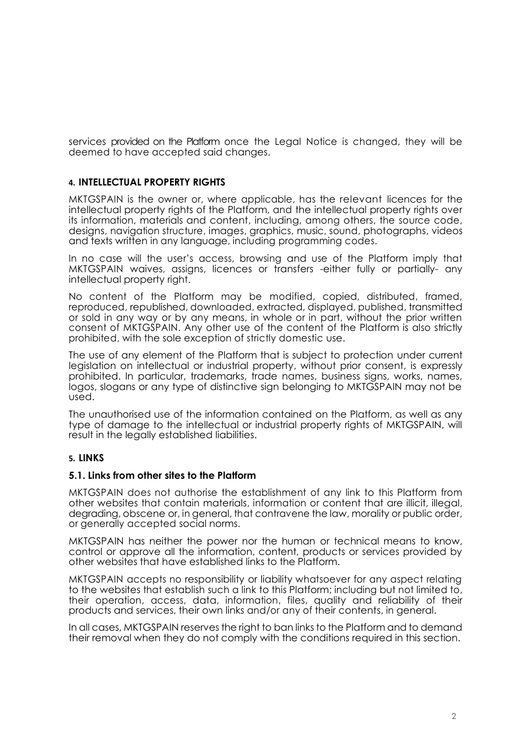services provided on the Platform once the Legal Notice is changed, they will be deemed to have accepted said changes.

#### **4. INTELLECTUAL PROPERTY RIGHTS**

MKTGSPAIN is the owner or, where applicable, has the relevant licences for the intellectual property rights of the Platform, and the intellectual property rights over its information, materials and content, including, among others, the source code, designs, navigation structure, images, graphics, music, sound, photographs, videos and texts written in any language, including programming codes.

In no case will the user's access, browsing and use of the Platform imply that MKTGSPAIN waives, assigns, licences or transfers -either fully or partially- any intellectual property right.

No content of the Platform may be modified, copied, distributed, framed, reproduced, republished, downloaded, extracted, displayed, published, transmitted or sold in any way or by any means, in whole or in part, without the prior written consent of MKTGSPAIN. Any other use of the content of the Platform is also strictly prohibited, with the sole exception of strictly domestic use.

The use of any element of the Platform that is subject to protection under current legislation on intellectual or industrial property, without prior consent, is expressly prohibited. In particular, trademarks, trade names, business signs, works, names, logos, slogans or any type of distinctive sign belonging to MKTGSPAIN may not be used.

The unauthorised use of the information contained on the Platform, as well as any type of damage to the intellectual or industrial property rights of MKTGSPAIN, will result in the legally established liabilities.

#### **5. LINKS**

#### **5.1. Links from other sites to the Platform**

MKTGSPAIN does not authorise the establishment of any link to this Platform from other websites that contain materials, information or content that are illicit, illegal, degrading, obscene or, in general, that contravene the law, morality or public order, or generally accepted social norms.

MKTGSPAIN has neither the power nor the human or technical means to know, control or approve all the information, content, products or services provided by other websites that have established links to the Platform.

MKTGSPAIN accepts no responsibility or liability whatsoever for any aspect relating to the websites that establish such a link to this Platform; including but not limited to, their operation, access, data, information, files, quality and reliability of their products and services, their own links and/or any of their contents, in general.

In all cases, MKTGSPAIN reserves the right to ban links to the Platform and to demand their removal when they do not comply with the conditions required in this section.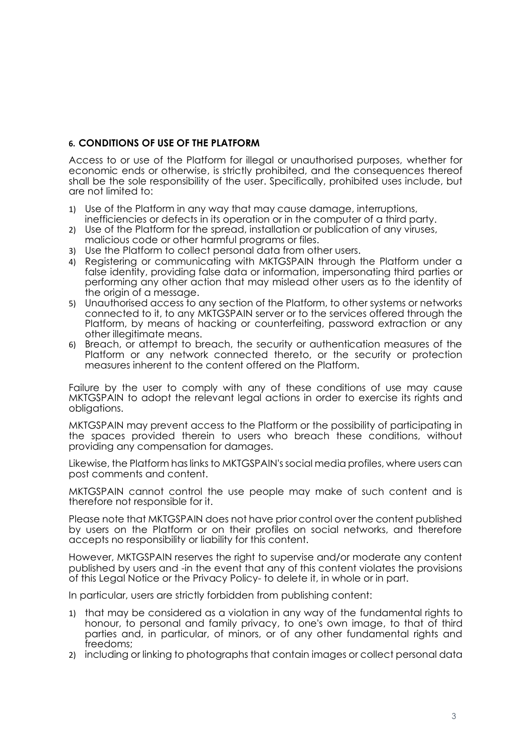# **6. CONDITIONS OF USE OF THE PLATFORM**

Access to or use of the Platform for illegal or unauthorised purposes, whether for economic ends or otherwise, is strictly prohibited, and the consequences thereof shall be the sole responsibility of the user. Specifically, prohibited uses include, but are not limited to:

- 1) Use of the Platform in any way that may cause damage, interruptions, inefficiencies or defects in its operation or in the computer of a third party.
- 2) Use of the Platform for the spread, installation or publication of any viruses, malicious code or other harmful programs or files.
- 3) Use the Platform to collect personal data from other users.
- 4) Registering or communicating with MKTGSPAIN through the Platform under a false identity, providing false data or information, impersonating third parties or performing any other action that may mislead other users as to the identity of the origin of a message.
- 5) Unauthorised access to any section of the Platform, to other systems or networks connected to it, to any MKTGSPAIN server or to the services offered through the Platform, by means of hacking or counterfeiting, password extraction or any other illegitimate means.
- 6) Breach, or attempt to breach, the security or authentication measures of the Platform or any network connected thereto, or the security or protection measures inherent to the content offered on the Platform.

Failure by the user to comply with any of these conditions of use may cause MKTGSPAIN to adopt the relevant legal actions in order to exercise its rights and obligations.

MKTGSPAIN may prevent access to the Platform or the possibility of participating in the spaces provided therein to users who breach these conditions, without providing any compensation for damages.

Likewise, the Platform has links to MKTGSPAIN's social media profiles, where users can post comments and content.

MKTGSPAIN cannot control the use people may make of such content and is therefore not responsible for it.

Please note that MKTGSPAIN does not have prior control over the content published by users on the Platform or on their profiles on social networks, and therefore accepts no responsibility or liability for this content.

However, MKTGSPAIN reserves the right to supervise and/or moderate any content published by users and -in the event that any of this content violates the provisions of this Legal Notice or the Privacy Policy- to delete it, in whole or in part.

In particular, users are strictly forbidden from publishing content:

- 1) that may be considered as a violation in any way of the fundamental rights to honour, to personal and family privacy, to one's own image, to that of third parties and, in particular, of minors, or of any other fundamental rights and freedoms;
- 2) including or linking to photographs that contain images or collect personal data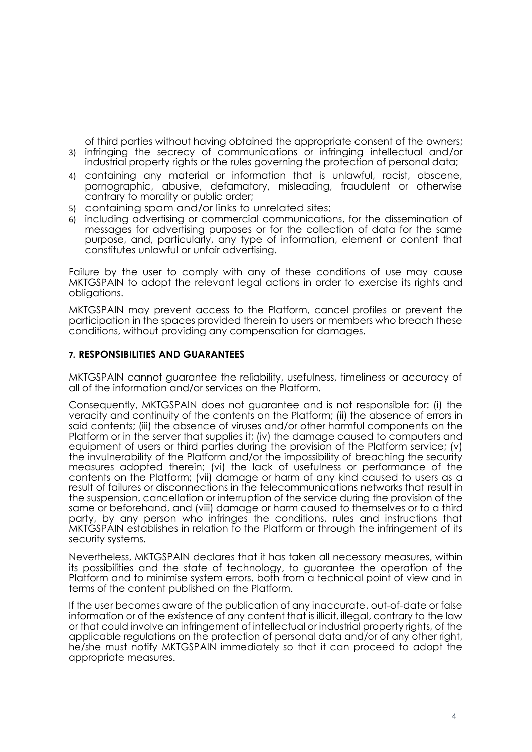of third parties without having obtained the appropriate consent of the owners; 3) infringing the secrecy of communications or infringing intellectual and/or

- industrial property rights or the rules governing the protection of personal data; 4) containing any material or information that is unlawful, racist, obscene, pornographic, abusive, defamatory, misleading, fraudulent or otherwise
- contrary to morality or public order;
- 5) containing spam and/or links to unrelated sites;
- 6) including advertising or commercial communications, for the dissemination of messages for advertising purposes or for the collection of data for the same purpose, and, particularly, any type of information, element or content that constitutes unlawful or unfair advertising.

Failure by the user to comply with any of these conditions of use may cause MKTGSPAIN to adopt the relevant legal actions in order to exercise its rights and obligations.

MKTGSPAIN may prevent access to the Platform, cancel profiles or prevent the participation in the spaces provided therein to users or members who breach these conditions, without providing any compensation for damages.

# **7. RESPONSIBILITIES AND GUARANTEES**

MKTGSPAIN cannot guarantee the reliability, usefulness, timeliness or accuracy of all of the information and/or services on the Platform.

Consequently, MKTGSPAIN does not guarantee and is not responsible for: (i) the veracity and continuity of the contents on the Platform; (ii) the absence of errors in said contents; (iii) the absence of viruses and/or other harmful components on the Platform or in the server that supplies it; (iv) the damage caused to computers and equipment of users or third parties during the provision of the Platform service; (v) the invulnerability of the Platform and/or the impossibility of breaching the security measures adopted therein; (vi) the lack of usefulness or performance of the contents on the Platform; (vii) damage or harm of any kind caused to users as a result of failures or disconnections in the telecommunications networks that result in the suspension, cancellation or interruption of the service during the provision of the same or beforehand, and (viii) damage or harm caused to themselves or to a third party, by any person who infringes the conditions, rules and instructions that MKTGSPAIN establishes in relation to the Platform or through the infringement of its security systems.

Nevertheless, MKTGSPAIN declares that it has taken all necessary measures, within its possibilities and the state of technology, to guarantee the operation of the Platform and to minimise system errors, both from a technical point of view and in terms of the content published on the Platform.

If the user becomes aware of the publication of any inaccurate, out-of-date or false information or of the existence of any content that is illicit, illegal, contrary to the law or that could involve an infringement of intellectual or industrial property rights, of the applicable regulations on the protection of personal data and/or of any other right, he/she must notify MKTGSPAIN immediately so that it can proceed to adopt the appropriate measures.